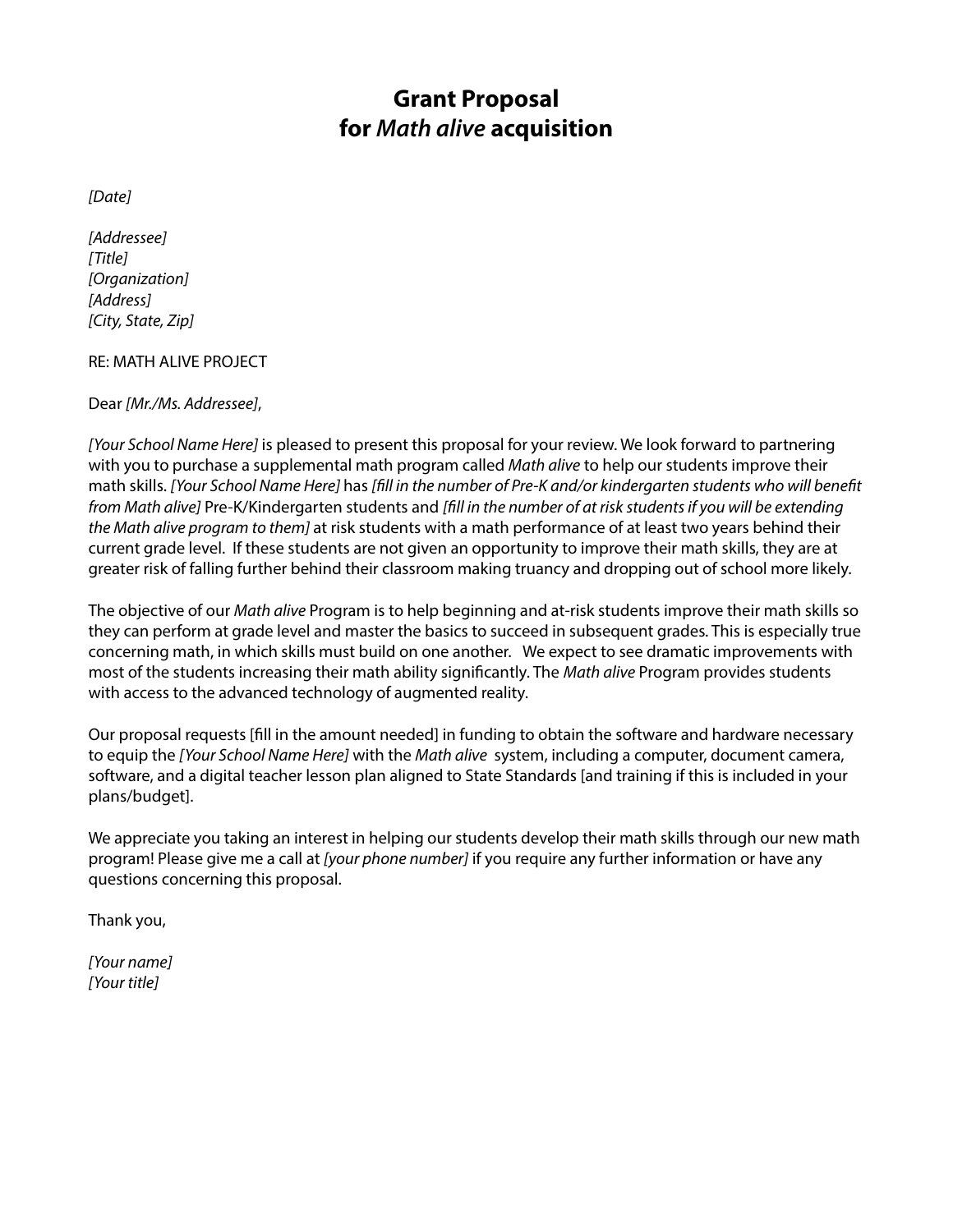# **Grant Proposal for** *Math alive* **acquisition**

*[Date]*

*[Addressee] [Title] [Organization] [Address] [City, State, Zip]*

RE: MATH ALIVE PROJECT

#### Dear *[Mr./Ms. Addressee]*,

*[Your School Name Here]* is pleased to present this proposal for your review. We look forward to partnering with you to purchase a supplemental math program called *Math alive* to help our students improve their math skills. *[Your School Name Here]* has *[fill in the number of Pre-K and/or kindergarten students who will benefit from Math alive]* Pre-K/Kindergarten students and *[fill in the number of at risk students if you will be extending the Math alive program to them]* at risk students with a math performance of at least two years behind their current grade level. If these students are not given an opportunity to improve their math skills, they are at greater risk of falling further behind their classroom making truancy and dropping out of school more likely.

The objective of our *Math alive* Program is to help beginning and at-risk students improve their math skills so they can perform at grade level and master the basics to succeed in subsequent grades. This is especially true concerning math, in which skills must build on one another. We expect to see dramatic improvements with most of the students increasing their math ability significantly. The *Math alive* Program provides students with access to the advanced technology of augmented reality.

Our proposal requests [fill in the amount needed] in funding to obtain the software and hardware necessary to equip the *[Your School Name Here]* with the *Math alive* system, including a computer, document camera, software, and a digital teacher lesson plan aligned to State Standards [and training if this is included in your plans/budget].

We appreciate you taking an interest in helping our students develop their math skills through our new math program! Please give me a call at *[your phone number]* if you require any further information or have any questions concerning this proposal.

Thank you,

*[Your name] [Your title]*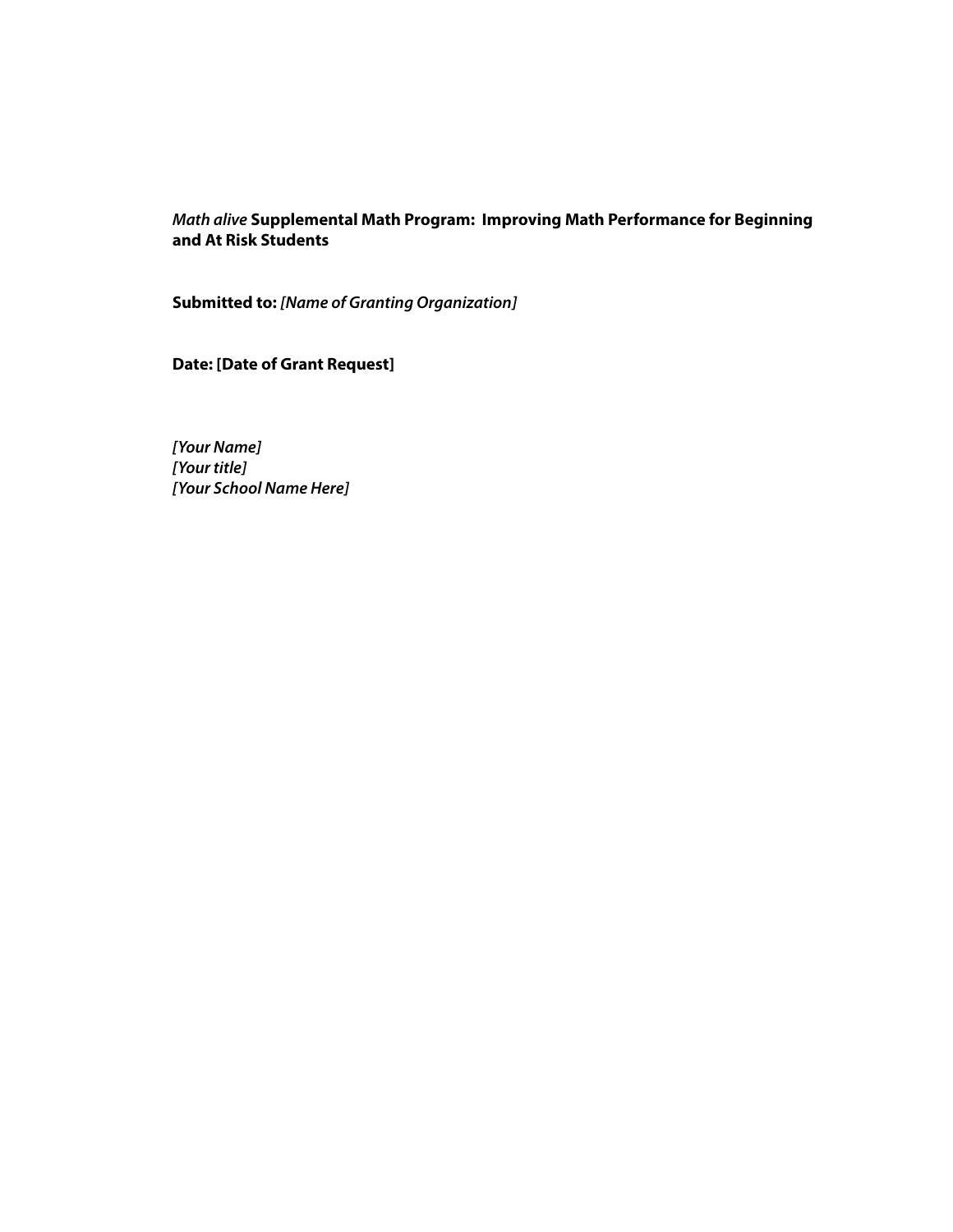# *Math alive* **Supplemental Math Program: Improving Math Performance for Beginning and At Risk Students**

**Submitted to:** *[Name of Granting Organization]*

**Date: [Date of Grant Request]**

*[Your Name] [Your title] [Your School Name Here]*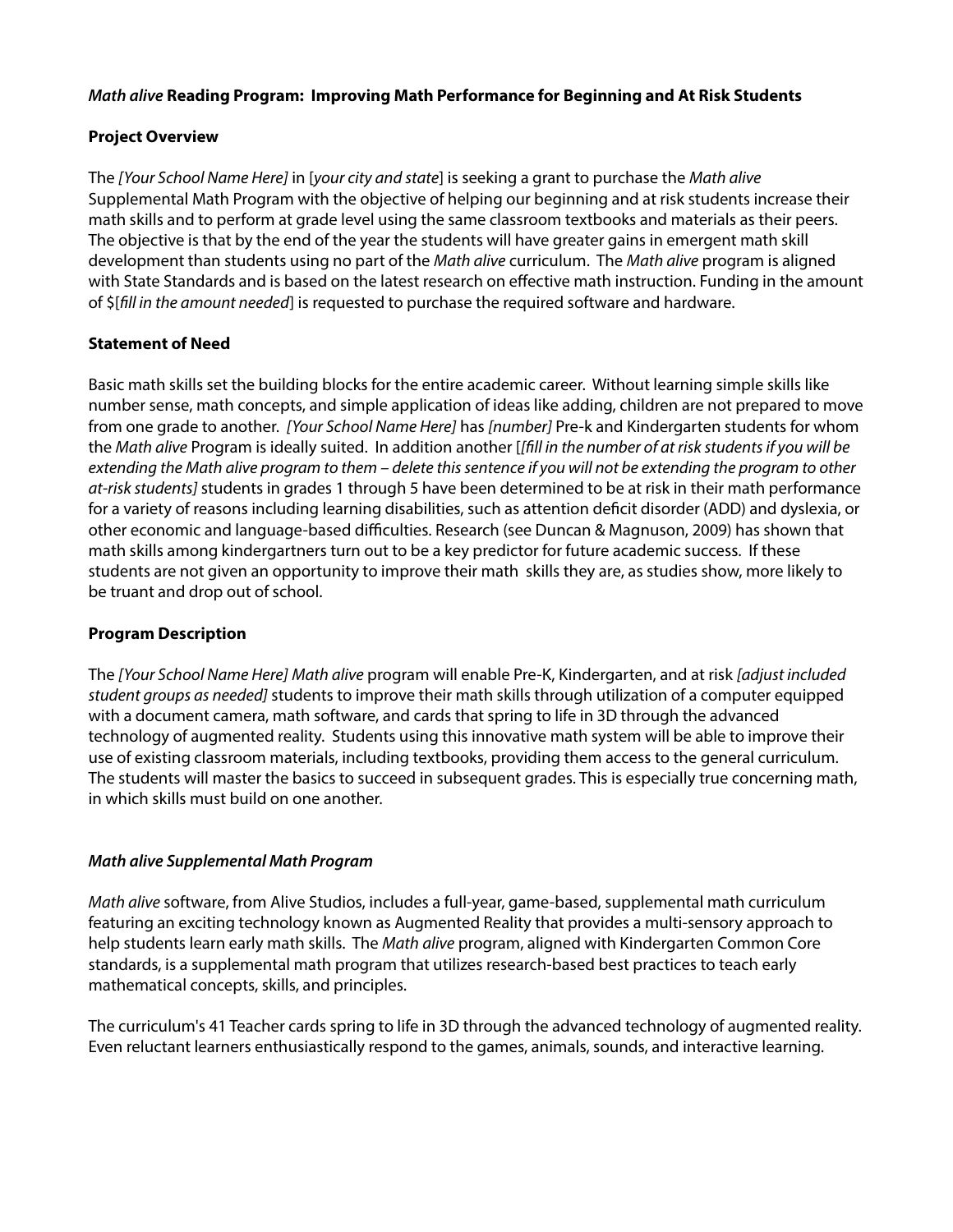## *Math alive* **Reading Program: Improving Math Performance for Beginning and At Risk Students**

## **Project Overview**

The *[Your School Name Here]* in [*your city and state*] is seeking a grant to purchase the *Math alive* Supplemental Math Program with the objective of helping our beginning and at risk students increase their math skills and to perform at grade level using the same classroom textbooks and materials as their peers. The objective is that by the end of the year the students will have greater gains in emergent math skill development than students using no part of the *Math alive* curriculum. The *Math alive* program is aligned with State Standards and is based on the latest research on effective math instruction. Funding in the amount of \$[*fill in the amount needed*] is requested to purchase the required software and hardware.

## **Statement of Need**

Basic math skills set the building blocks for the entire academic career. Without learning simple skills like number sense, math concepts, and simple application of ideas like adding, children are not prepared to move from one grade to another. *[Your School Name Here]* has *[number]* Pre-k and Kindergarten students for whom the *Math alive* Program is ideally suited. In addition another [*[fill in the number of at risk students if you will be extending the Math alive program to them – delete this sentence if you will not be extending the program to other at-risk students]* students in grades 1 through 5 have been determined to be at risk in their math performance for a variety of reasons including learning disabilities, such as attention deficit disorder (ADD) and dyslexia, or other economic and language-based difficulties. Research (see Duncan & Magnuson, 2009) has shown that math skills among kindergartners turn out to be a key predictor for future academic success. If these students are not given an opportunity to improve their math skills they are, as studies show, more likely to be truant and drop out of school.

#### **Program Description**

The *[Your School Name Here] Math alive* program will enable Pre-K, Kindergarten, and at risk *[adjust included student groups as needed]* students to improve their math skills through utilization of a computer equipped with a document camera, math software, and cards that spring to life in 3D through the advanced technology of augmented reality. Students using this innovative math system will be able to improve their use of existing classroom materials, including textbooks, providing them access to the general curriculum. The students will master the basics to succeed in subsequent grades. This is especially true concerning math, in which skills must build on one another.

#### *Math alive Supplemental Math Program*

*Math alive* software, from Alive Studios, includes a full-year, game-based, supplemental math curriculum featuring an exciting technology known as Augmented Reality that provides a multi-sensory approach to help students learn early math skills. The *Math alive* program, aligned with Kindergarten Common Core standards, is a supplemental math program that utilizes research-based best practices to teach early mathematical concepts, skills, and principles.

The curriculum's 41 Teacher cards spring to life in 3D through the advanced technology of augmented reality. Even reluctant learners enthusiastically respond to the games, animals, sounds, and interactive learning.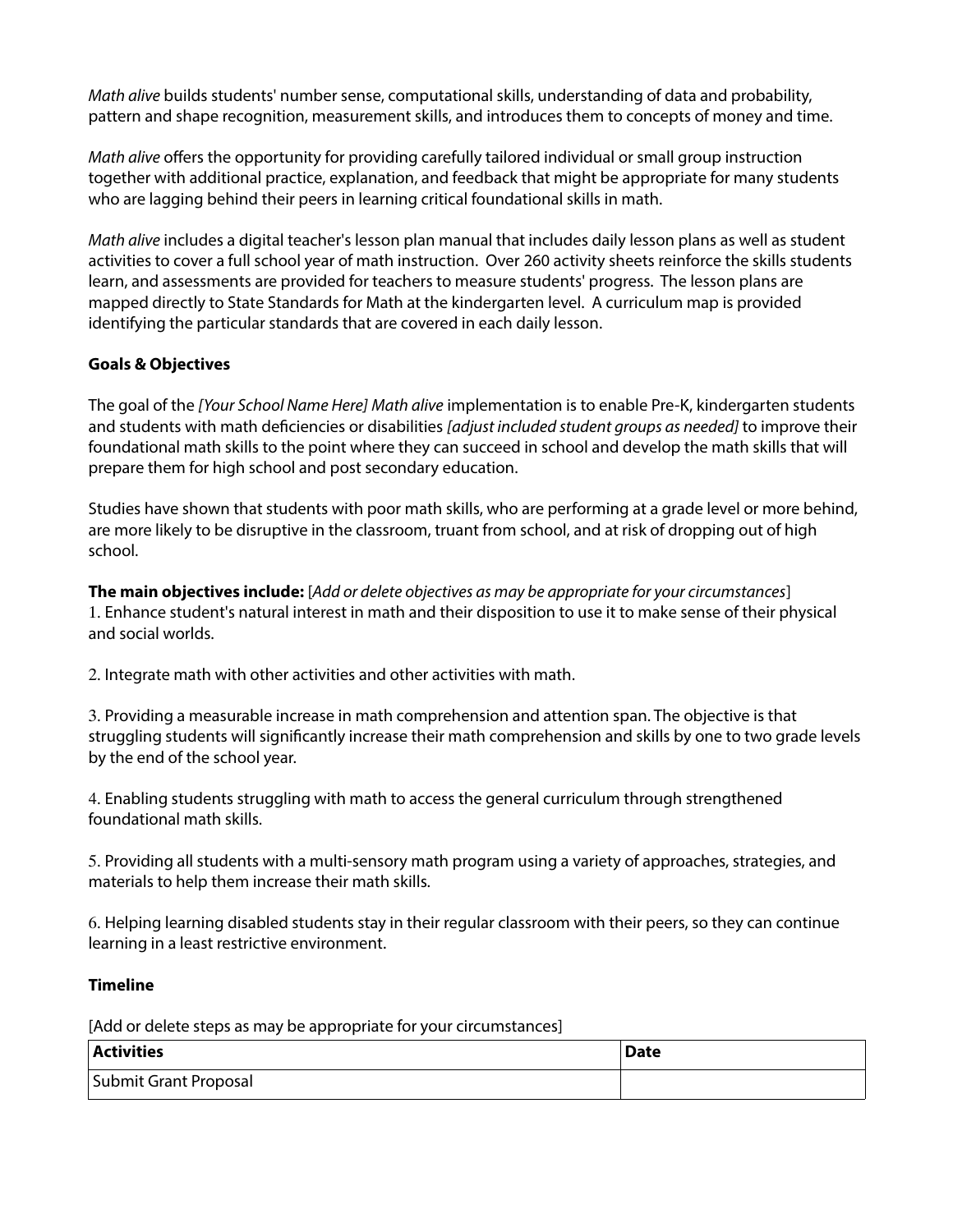*Math alive* builds students' number sense, computational skills, understanding of data and probability, pattern and shape recognition, measurement skills, and introduces them to concepts of money and time.

*Math alive* offers the opportunity for providing carefully tailored individual or small group instruction together with additional practice, explanation, and feedback that might be appropriate for many students who are lagging behind their peers in learning critical foundational skills in math.

*Math alive* includes a digital teacher's lesson plan manual that includes daily lesson plans as well as student activities to cover a full school year of math instruction. Over 260 activity sheets reinforce the skills students learn, and assessments are provided for teachers to measure students' progress. The lesson plans are mapped directly to State Standards for Math at the kindergarten level. A curriculum map is provided identifying the particular standards that are covered in each daily lesson.

# **Goals & Objectives**

The goal of the *[Your School Name Here] Math alive* implementation is to enable Pre-K, kindergarten students and students with math deficiencies or disabilities *[adjust included student groups as needed]* to improve their foundational math skills to the point where they can succeed in school and develop the math skills that will prepare them for high school and post secondary education.

Studies have shown that students with poor math skills, who are performing at a grade level or more behind, are more likely to be disruptive in the classroom, truant from school, and at risk of dropping out of high school.

**The main objectives include:** [*Add or delete objectives as may be appropriate for your circumstances*] 1. Enhance student's natural interest in math and their disposition to use it to make sense of their physical and social worlds.

2. Integrate math with other activities and other activities with math.

3. Providing a measurable increase in math comprehension and attention span. The objective is that struggling students will significantly increase their math comprehension and skills by one to two grade levels by the end of the school year.

4. Enabling students struggling with math to access the general curriculum through strengthened foundational math skills.

5. Providing all students with a multi-sensory math program using a variety of approaches, strategies, and materials to help them increase their math skills.

6. Helping learning disabled students stay in their regular classroom with their peers, so they can continue learning in a least restrictive environment.

# **Timeline**

[Add or delete steps as may be appropriate for your circumstances]

| <b>Activities</b>     | 'Date |
|-----------------------|-------|
| Submit Grant Proposal |       |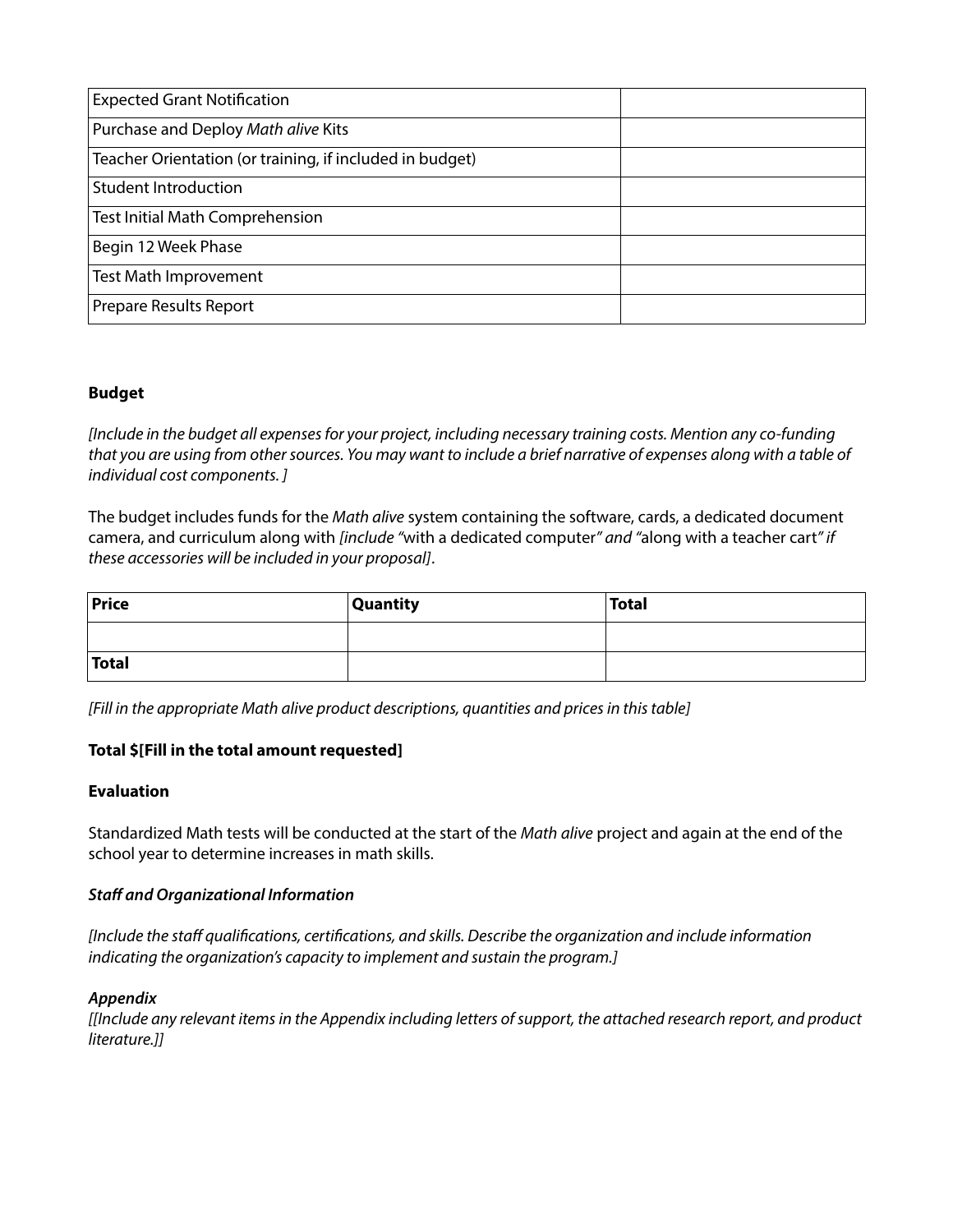| <b>Expected Grant Notification</b>                       |  |
|----------------------------------------------------------|--|
| Purchase and Deploy Math alive Kits                      |  |
| Teacher Orientation (or training, if included in budget) |  |
| <b>Student Introduction</b>                              |  |
| Test Initial Math Comprehension                          |  |
| Begin 12 Week Phase                                      |  |
| <b>Test Math Improvement</b>                             |  |
| <b>Prepare Results Report</b>                            |  |

# **Budget**

*[Include in the budget all expenses for your project, including necessary training costs. Mention any co-funding that you are using from other sources. You may want to include a brief narrative of expenses along with a table of individual cost components. ]*

The budget includes funds for the *Math alive* system containing the software, cards, a dedicated document camera, and curriculum along with *[include "*with a dedicated computer*" and "*along with a teacher cart*" if these accessories will be included in your proposal]*.

| <b>Price</b> | <b>Quantity</b> | Total |
|--------------|-----------------|-------|
|              |                 |       |
| <b>Total</b> |                 |       |

*[Fill in the appropriate Math alive product descriptions, quantities and prices in this table]*

# **Total \$[Fill in the total amount requested]**

# **Evaluation**

Standardized Math tests will be conducted at the start of the *Math alive* project and again at the end of the school year to determine increases in math skills.

# *Staff and Organizational Information*

*[Include the staff qualifications, certifications, and skills. Describe the organization and include information indicating the organization's capacity to implement and sustain the program.]*

#### *Appendix*

*[[Include any relevant items in the Appendix including letters of support, the attached research report, and product literature.]]*